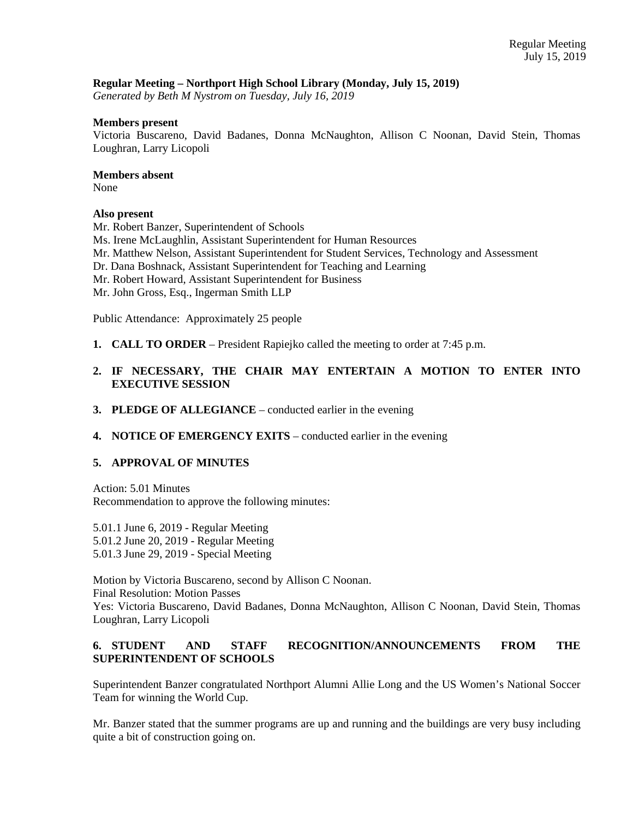## **Regular Meeting – Northport High School Library (Monday, July 15, 2019)**

*Generated by Beth M Nystrom on Tuesday, July 16, 2019*

### **Members present**

Victoria Buscareno, David Badanes, Donna McNaughton, Allison C Noonan, David Stein, Thomas Loughran, Larry Licopoli

### **Members absent**

None

## **Also present**

Mr. Robert Banzer, Superintendent of Schools

- Ms. Irene McLaughlin, Assistant Superintendent for Human Resources
- Mr. Matthew Nelson, Assistant Superintendent for Student Services, Technology and Assessment
- Dr. Dana Boshnack, Assistant Superintendent for Teaching and Learning
- Mr. Robert Howard, Assistant Superintendent for Business
- Mr. John Gross, Esq., Ingerman Smith LLP

Public Attendance: Approximately 25 people

- **1. CALL TO ORDER** President Rapiejko called the meeting to order at 7:45 p.m.
- **2. IF NECESSARY, THE CHAIR MAY ENTERTAIN A MOTION TO ENTER INTO EXECUTIVE SESSION**
- **3. PLEDGE OF ALLEGIANCE**  conducted earlier in the evening
- **4. NOTICE OF EMERGENCY EXITS**  conducted earlier in the evening

# **5. APPROVAL OF MINUTES**

Action: 5.01 Minutes Recommendation to approve the following minutes:

5.01.1 June 6, 2019 - Regular Meeting 5.01.2 June 20, 2019 - Regular Meeting 5.01.3 June 29, 2019 - Special Meeting

Motion by Victoria Buscareno, second by Allison C Noonan. Final Resolution: Motion Passes Yes: Victoria Buscareno, David Badanes, Donna McNaughton, Allison C Noonan, David Stein, Thomas Loughran, Larry Licopoli

# **6. STUDENT AND STAFF RECOGNITION/ANNOUNCEMENTS FROM THE SUPERINTENDENT OF SCHOOLS**

Superintendent Banzer congratulated Northport Alumni Allie Long and the US Women's National Soccer Team for winning the World Cup.

Mr. Banzer stated that the summer programs are up and running and the buildings are very busy including quite a bit of construction going on.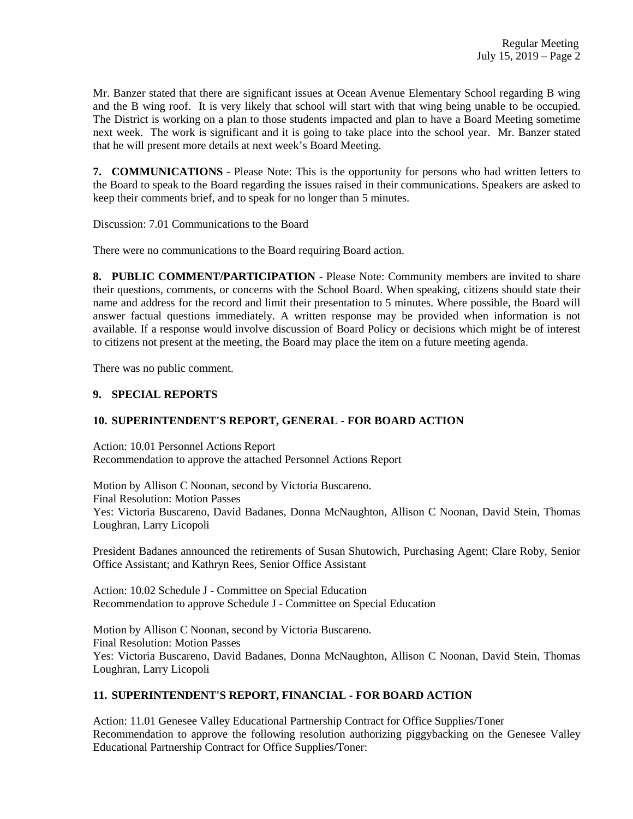Mr. Banzer stated that there are significant issues at Ocean Avenue Elementary School regarding B wing and the B wing roof. It is very likely that school will start with that wing being unable to be occupied. The District is working on a plan to those students impacted and plan to have a Board Meeting sometime next week. The work is significant and it is going to take place into the school year. Mr. Banzer stated that he will present more details at next week's Board Meeting.

**7. COMMUNICATIONS** - Please Note: This is the opportunity for persons who had written letters to the Board to speak to the Board regarding the issues raised in their communications. Speakers are asked to keep their comments brief, and to speak for no longer than 5 minutes.

Discussion: 7.01 Communications to the Board

There were no communications to the Board requiring Board action.

**8. PUBLIC COMMENT/PARTICIPATION** - Please Note: Community members are invited to share their questions, comments, or concerns with the School Board. When speaking, citizens should state their name and address for the record and limit their presentation to 5 minutes. Where possible, the Board will answer factual questions immediately. A written response may be provided when information is not available. If a response would involve discussion of Board Policy or decisions which might be of interest to citizens not present at the meeting, the Board may place the item on a future meeting agenda.

There was no public comment.

## **9. SPECIAL REPORTS**

# **10. SUPERINTENDENT'S REPORT, GENERAL - FOR BOARD ACTION**

Action: 10.01 Personnel Actions Report Recommendation to approve the attached Personnel Actions Report

Motion by Allison C Noonan, second by Victoria Buscareno. Final Resolution: Motion Passes Yes: Victoria Buscareno, David Badanes, Donna McNaughton, Allison C Noonan, David Stein, Thomas Loughran, Larry Licopoli

President Badanes announced the retirements of Susan Shutowich, Purchasing Agent; Clare Roby, Senior Office Assistant; and Kathryn Rees, Senior Office Assistant

Action: 10.02 Schedule J - Committee on Special Education Recommendation to approve Schedule J - Committee on Special Education

Motion by Allison C Noonan, second by Victoria Buscareno. Final Resolution: Motion Passes Yes: Victoria Buscareno, David Badanes, Donna McNaughton, Allison C Noonan, David Stein, Thomas Loughran, Larry Licopoli

# **11. SUPERINTENDENT'S REPORT, FINANCIAL - FOR BOARD ACTION**

Action: 11.01 Genesee Valley Educational Partnership Contract for Office Supplies/Toner Recommendation to approve the following resolution authorizing piggybacking on the Genesee Valley Educational Partnership Contract for Office Supplies/Toner: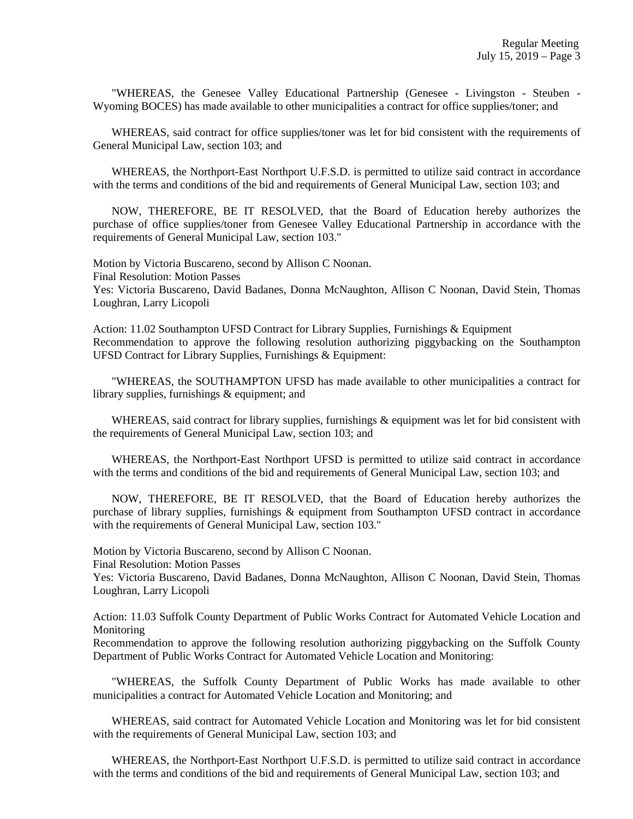"WHEREAS, the Genesee Valley Educational Partnership (Genesee - Livingston - Steuben - Wyoming BOCES) has made available to other municipalities a contract for office supplies/toner; and

 WHEREAS, said contract for office supplies/toner was let for bid consistent with the requirements of General Municipal Law, section 103; and

 WHEREAS, the Northport-East Northport U.F.S.D. is permitted to utilize said contract in accordance with the terms and conditions of the bid and requirements of General Municipal Law, section 103; and

 NOW, THEREFORE, BE IT RESOLVED, that the Board of Education hereby authorizes the purchase of office supplies/toner from Genesee Valley Educational Partnership in accordance with the requirements of General Municipal Law, section 103."

Motion by Victoria Buscareno, second by Allison C Noonan. Final Resolution: Motion Passes Yes: Victoria Buscareno, David Badanes, Donna McNaughton, Allison C Noonan, David Stein, Thomas

Loughran, Larry Licopoli

Action: 11.02 Southampton UFSD Contract for Library Supplies, Furnishings & Equipment Recommendation to approve the following resolution authorizing piggybacking on the Southampton UFSD Contract for Library Supplies, Furnishings & Equipment:

 "WHEREAS, the SOUTHAMPTON UFSD has made available to other municipalities a contract for library supplies, furnishings & equipment; and

WHEREAS, said contract for library supplies, furnishings & equipment was let for bid consistent with the requirements of General Municipal Law, section 103; and

 WHEREAS, the Northport-East Northport UFSD is permitted to utilize said contract in accordance with the terms and conditions of the bid and requirements of General Municipal Law, section 103; and

 NOW, THEREFORE, BE IT RESOLVED, that the Board of Education hereby authorizes the purchase of library supplies, furnishings & equipment from Southampton UFSD contract in accordance with the requirements of General Municipal Law, section 103."

Motion by Victoria Buscareno, second by Allison C Noonan.

Final Resolution: Motion Passes

Yes: Victoria Buscareno, David Badanes, Donna McNaughton, Allison C Noonan, David Stein, Thomas Loughran, Larry Licopoli

Action: 11.03 Suffolk County Department of Public Works Contract for Automated Vehicle Location and Monitoring

Recommendation to approve the following resolution authorizing piggybacking on the Suffolk County Department of Public Works Contract for Automated Vehicle Location and Monitoring:

 "WHEREAS, the Suffolk County Department of Public Works has made available to other municipalities a contract for Automated Vehicle Location and Monitoring; and

 WHEREAS, said contract for Automated Vehicle Location and Monitoring was let for bid consistent with the requirements of General Municipal Law, section 103; and

 WHEREAS, the Northport-East Northport U.F.S.D. is permitted to utilize said contract in accordance with the terms and conditions of the bid and requirements of General Municipal Law, section 103; and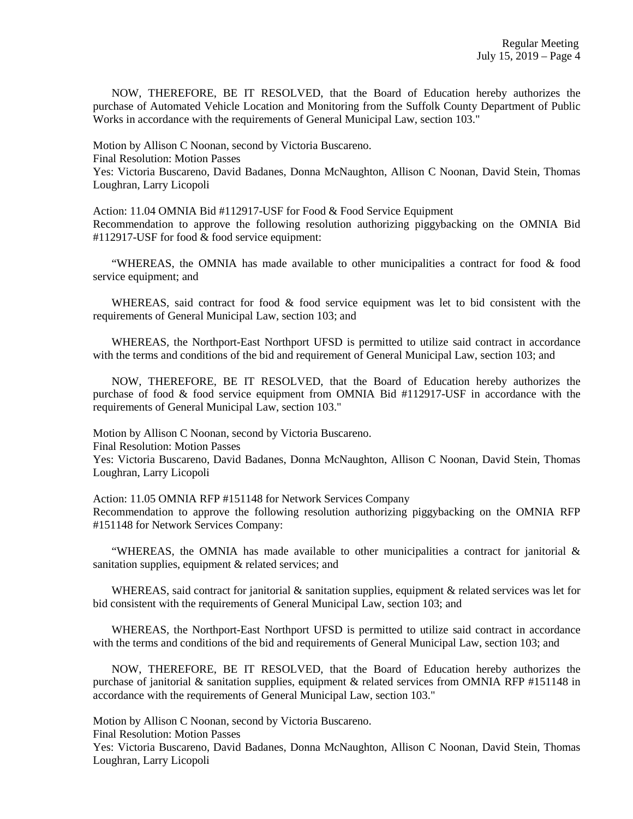NOW, THEREFORE, BE IT RESOLVED, that the Board of Education hereby authorizes the purchase of Automated Vehicle Location and Monitoring from the Suffolk County Department of Public Works in accordance with the requirements of General Municipal Law, section 103."

Motion by Allison C Noonan, second by Victoria Buscareno. Final Resolution: Motion Passes Yes: Victoria Buscareno, David Badanes, Donna McNaughton, Allison C Noonan, David Stein, Thomas Loughran, Larry Licopoli

Action: 11.04 OMNIA Bid #112917-USF for Food & Food Service Equipment Recommendation to approve the following resolution authorizing piggybacking on the OMNIA Bid #112917-USF for food & food service equipment:

 "WHEREAS, the OMNIA has made available to other municipalities a contract for food & food service equipment; and

WHEREAS, said contract for food & food service equipment was let to bid consistent with the requirements of General Municipal Law, section 103; and

 WHEREAS, the Northport-East Northport UFSD is permitted to utilize said contract in accordance with the terms and conditions of the bid and requirement of General Municipal Law, section 103; and

 NOW, THEREFORE, BE IT RESOLVED, that the Board of Education hereby authorizes the purchase of food & food service equipment from OMNIA Bid #112917-USF in accordance with the requirements of General Municipal Law, section 103."

Motion by Allison C Noonan, second by Victoria Buscareno. Final Resolution: Motion Passes Yes: Victoria Buscareno, David Badanes, Donna McNaughton, Allison C Noonan, David Stein, Thomas Loughran, Larry Licopoli

Action: 11.05 OMNIA RFP #151148 for Network Services Company Recommendation to approve the following resolution authorizing piggybacking on the OMNIA RFP #151148 for Network Services Company:

 "WHEREAS, the OMNIA has made available to other municipalities a contract for janitorial & sanitation supplies, equipment & related services; and

WHEREAS, said contract for janitorial  $\&$  sanitation supplies, equipment  $\&$  related services was let for bid consistent with the requirements of General Municipal Law, section 103; and

 WHEREAS, the Northport-East Northport UFSD is permitted to utilize said contract in accordance with the terms and conditions of the bid and requirements of General Municipal Law, section 103; and

 NOW, THEREFORE, BE IT RESOLVED, that the Board of Education hereby authorizes the purchase of janitorial & sanitation supplies, equipment & related services from OMNIA RFP #151148 in accordance with the requirements of General Municipal Law, section 103."

Motion by Allison C Noonan, second by Victoria Buscareno.

Final Resolution: Motion Passes

Yes: Victoria Buscareno, David Badanes, Donna McNaughton, Allison C Noonan, David Stein, Thomas Loughran, Larry Licopoli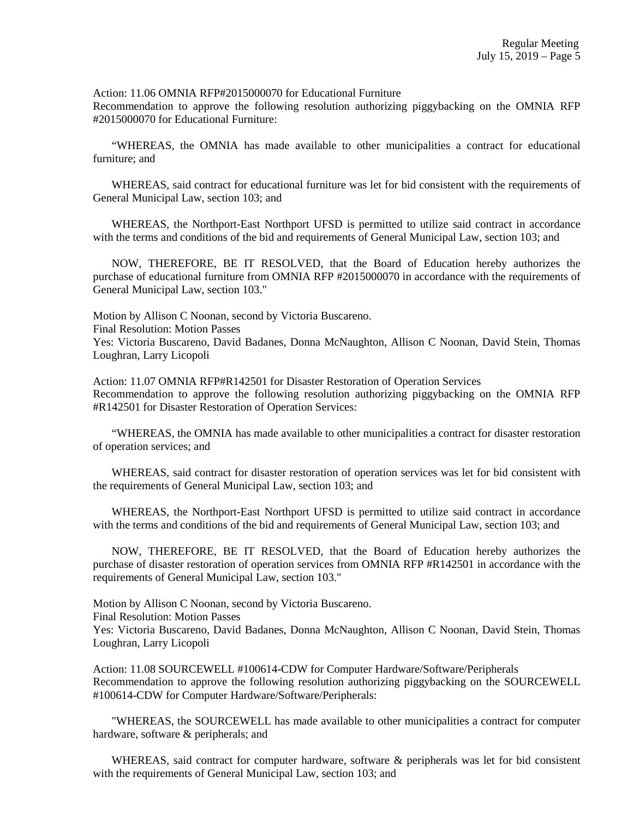Action: 11.06 OMNIA RFP#2015000070 for Educational Furniture

Recommendation to approve the following resolution authorizing piggybacking on the OMNIA RFP #2015000070 for Educational Furniture:

 "WHEREAS, the OMNIA has made available to other municipalities a contract for educational furniture; and

 WHEREAS, said contract for educational furniture was let for bid consistent with the requirements of General Municipal Law, section 103; and

 WHEREAS, the Northport-East Northport UFSD is permitted to utilize said contract in accordance with the terms and conditions of the bid and requirements of General Municipal Law, section 103; and

 NOW, THEREFORE, BE IT RESOLVED, that the Board of Education hereby authorizes the purchase of educational furniture from OMNIA RFP #2015000070 in accordance with the requirements of General Municipal Law, section 103."

Final Resolution: Motion Passes Yes: Victoria Buscareno, David Badanes, Donna McNaughton, Allison C Noonan, David Stein, Thomas Loughran, Larry Licopoli

Action: 11.07 OMNIA RFP#R142501 for Disaster Restoration of Operation Services Recommendation to approve the following resolution authorizing piggybacking on the OMNIA RFP #R142501 for Disaster Restoration of Operation Services:

 "WHEREAS, the OMNIA has made available to other municipalities a contract for disaster restoration of operation services; and

 WHEREAS, said contract for disaster restoration of operation services was let for bid consistent with the requirements of General Municipal Law, section 103; and

 WHEREAS, the Northport-East Northport UFSD is permitted to utilize said contract in accordance with the terms and conditions of the bid and requirements of General Municipal Law, section 103; and

 NOW, THEREFORE, BE IT RESOLVED, that the Board of Education hereby authorizes the purchase of disaster restoration of operation services from OMNIA RFP #R142501 in accordance with the requirements of General Municipal Law, section 103."

Motion by Allison C Noonan, second by Victoria Buscareno.

Motion by Allison C Noonan, second by Victoria Buscareno.

Final Resolution: Motion Passes

Yes: Victoria Buscareno, David Badanes, Donna McNaughton, Allison C Noonan, David Stein, Thomas Loughran, Larry Licopoli

Action: 11.08 SOURCEWELL #100614-CDW for Computer Hardware/Software/Peripherals Recommendation to approve the following resolution authorizing piggybacking on the SOURCEWELL #100614-CDW for Computer Hardware/Software/Peripherals:

 "WHEREAS, the SOURCEWELL has made available to other municipalities a contract for computer hardware, software & peripherals; and

WHEREAS, said contract for computer hardware, software & peripherals was let for bid consistent with the requirements of General Municipal Law, section 103; and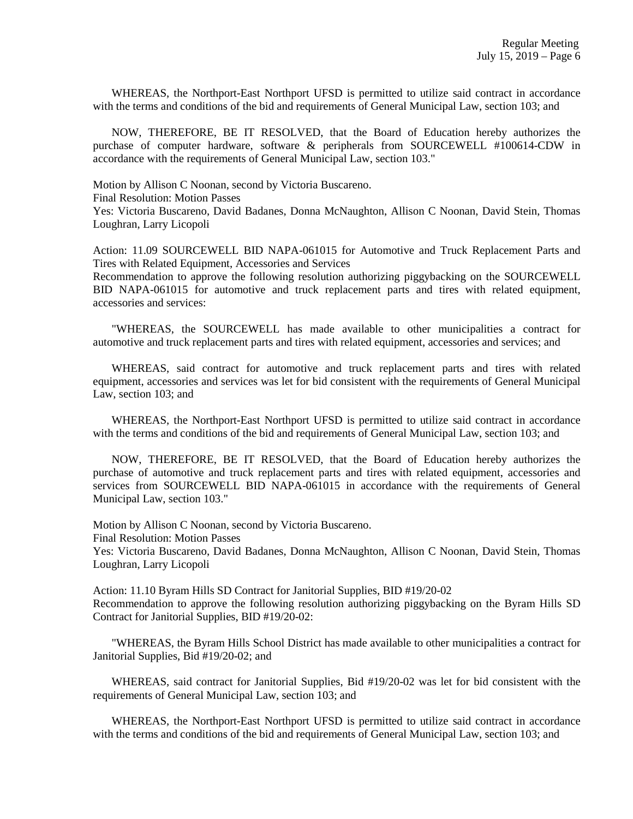WHEREAS, the Northport-East Northport UFSD is permitted to utilize said contract in accordance with the terms and conditions of the bid and requirements of General Municipal Law, section 103; and

 NOW, THEREFORE, BE IT RESOLVED, that the Board of Education hereby authorizes the purchase of computer hardware, software & peripherals from SOURCEWELL #100614-CDW in accordance with the requirements of General Municipal Law, section 103."

Motion by Allison C Noonan, second by Victoria Buscareno.

Final Resolution: Motion Passes

Yes: Victoria Buscareno, David Badanes, Donna McNaughton, Allison C Noonan, David Stein, Thomas Loughran, Larry Licopoli

Action: 11.09 SOURCEWELL BID NAPA-061015 for Automotive and Truck Replacement Parts and Tires with Related Equipment, Accessories and Services

Recommendation to approve the following resolution authorizing piggybacking on the SOURCEWELL BID NAPA-061015 for automotive and truck replacement parts and tires with related equipment, accessories and services:

 "WHEREAS, the SOURCEWELL has made available to other municipalities a contract for automotive and truck replacement parts and tires with related equipment, accessories and services; and

 WHEREAS, said contract for automotive and truck replacement parts and tires with related equipment, accessories and services was let for bid consistent with the requirements of General Municipal Law, section 103; and

 WHEREAS, the Northport-East Northport UFSD is permitted to utilize said contract in accordance with the terms and conditions of the bid and requirements of General Municipal Law, section 103; and

 NOW, THEREFORE, BE IT RESOLVED, that the Board of Education hereby authorizes the purchase of automotive and truck replacement parts and tires with related equipment, accessories and services from SOURCEWELL BID NAPA-061015 in accordance with the requirements of General Municipal Law, section 103."

Motion by Allison C Noonan, second by Victoria Buscareno. Final Resolution: Motion Passes Yes: Victoria Buscareno, David Badanes, Donna McNaughton, Allison C Noonan, David Stein, Thomas Loughran, Larry Licopoli

Action: 11.10 Byram Hills SD Contract for Janitorial Supplies, BID #19/20-02 Recommendation to approve the following resolution authorizing piggybacking on the Byram Hills SD Contract for Janitorial Supplies, BID #19/20-02:

 "WHEREAS, the Byram Hills School District has made available to other municipalities a contract for Janitorial Supplies, Bid #19/20-02; and

 WHEREAS, said contract for Janitorial Supplies, Bid #19/20-02 was let for bid consistent with the requirements of General Municipal Law, section 103; and

 WHEREAS, the Northport-East Northport UFSD is permitted to utilize said contract in accordance with the terms and conditions of the bid and requirements of General Municipal Law, section 103; and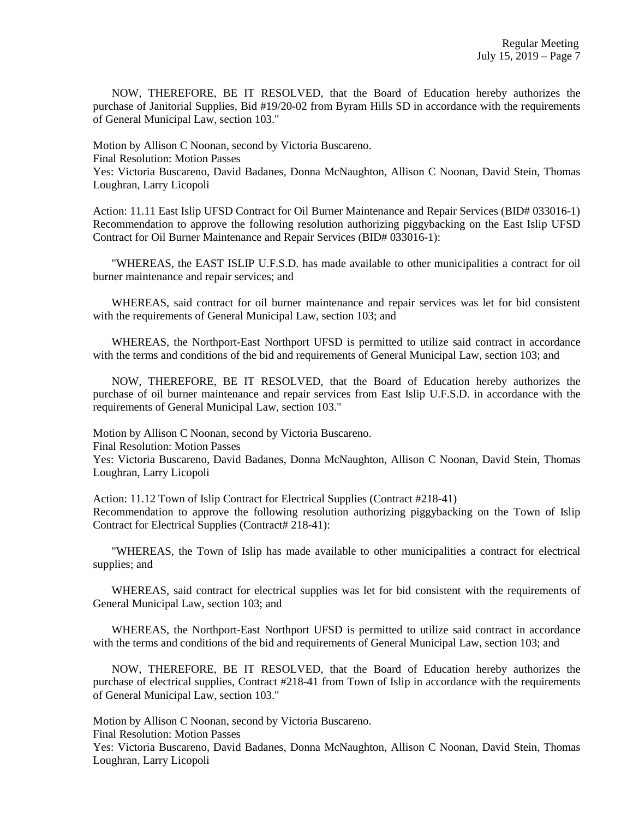NOW, THEREFORE, BE IT RESOLVED, that the Board of Education hereby authorizes the purchase of Janitorial Supplies, Bid #19/20-02 from Byram Hills SD in accordance with the requirements of General Municipal Law, section 103."

Motion by Allison C Noonan, second by Victoria Buscareno. Final Resolution: Motion Passes Yes: Victoria Buscareno, David Badanes, Donna McNaughton, Allison C Noonan, David Stein, Thomas Loughran, Larry Licopoli

Action: 11.11 East Islip UFSD Contract for Oil Burner Maintenance and Repair Services (BID# 033016-1) Recommendation to approve the following resolution authorizing piggybacking on the East Islip UFSD Contract for Oil Burner Maintenance and Repair Services (BID# 033016-1):

 "WHEREAS, the EAST ISLIP U.F.S.D. has made available to other municipalities a contract for oil burner maintenance and repair services; and

 WHEREAS, said contract for oil burner maintenance and repair services was let for bid consistent with the requirements of General Municipal Law, section 103; and

 WHEREAS, the Northport-East Northport UFSD is permitted to utilize said contract in accordance with the terms and conditions of the bid and requirements of General Municipal Law, section 103; and

 NOW, THEREFORE, BE IT RESOLVED, that the Board of Education hereby authorizes the purchase of oil burner maintenance and repair services from East Islip U.F.S.D. in accordance with the requirements of General Municipal Law, section 103."

Motion by Allison C Noonan, second by Victoria Buscareno. Final Resolution: Motion Passes Yes: Victoria Buscareno, David Badanes, Donna McNaughton, Allison C Noonan, David Stein, Thomas Loughran, Larry Licopoli

Action: 11.12 Town of Islip Contract for Electrical Supplies (Contract #218-41) Recommendation to approve the following resolution authorizing piggybacking on the Town of Islip Contract for Electrical Supplies (Contract# 218-41):

 "WHEREAS, the Town of Islip has made available to other municipalities a contract for electrical supplies; and

 WHEREAS, said contract for electrical supplies was let for bid consistent with the requirements of General Municipal Law, section 103; and

 WHEREAS, the Northport-East Northport UFSD is permitted to utilize said contract in accordance with the terms and conditions of the bid and requirements of General Municipal Law, section 103; and

 NOW, THEREFORE, BE IT RESOLVED, that the Board of Education hereby authorizes the purchase of electrical supplies, Contract #218-41 from Town of Islip in accordance with the requirements of General Municipal Law, section 103."

Motion by Allison C Noonan, second by Victoria Buscareno.

Final Resolution: Motion Passes

Yes: Victoria Buscareno, David Badanes, Donna McNaughton, Allison C Noonan, David Stein, Thomas Loughran, Larry Licopoli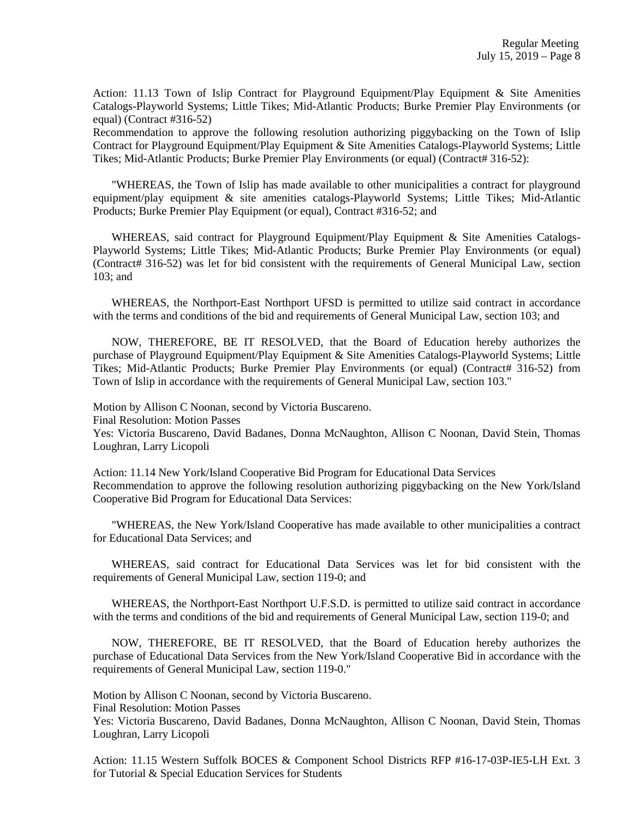Action: 11.13 Town of Islip Contract for Playground Equipment/Play Equipment & Site Amenities Catalogs-Playworld Systems; Little Tikes; Mid-Atlantic Products; Burke Premier Play Environments (or equal) (Contract #316-52)

Recommendation to approve the following resolution authorizing piggybacking on the Town of Islip Contract for Playground Equipment/Play Equipment & Site Amenities Catalogs-Playworld Systems; Little Tikes; Mid-Atlantic Products; Burke Premier Play Environments (or equal) (Contract# 316-52):

 "WHEREAS, the Town of Islip has made available to other municipalities a contract for playground equipment/play equipment & site amenities catalogs-Playworld Systems; Little Tikes; Mid-Atlantic Products; Burke Premier Play Equipment (or equal), Contract #316-52; and

WHEREAS, said contract for Playground Equipment/Play Equipment & Site Amenities Catalogs-Playworld Systems; Little Tikes; Mid-Atlantic Products; Burke Premier Play Environments (or equal) (Contract# 316-52) was let for bid consistent with the requirements of General Municipal Law, section 103; and

 WHEREAS, the Northport-East Northport UFSD is permitted to utilize said contract in accordance with the terms and conditions of the bid and requirements of General Municipal Law, section 103; and

 NOW, THEREFORE, BE IT RESOLVED, that the Board of Education hereby authorizes the purchase of Playground Equipment/Play Equipment & Site Amenities Catalogs-Playworld Systems; Little Tikes; Mid-Atlantic Products; Burke Premier Play Environments (or equal) (Contract# 316-52) from Town of Islip in accordance with the requirements of General Municipal Law, section 103."

Motion by Allison C Noonan, second by Victoria Buscareno.

Final Resolution: Motion Passes

Yes: Victoria Buscareno, David Badanes, Donna McNaughton, Allison C Noonan, David Stein, Thomas Loughran, Larry Licopoli

Action: 11.14 New York/Island Cooperative Bid Program for Educational Data Services Recommendation to approve the following resolution authorizing piggybacking on the New York/Island Cooperative Bid Program for Educational Data Services:

 "WHEREAS, the New York/Island Cooperative has made available to other municipalities a contract for Educational Data Services; and

 WHEREAS, said contract for Educational Data Services was let for bid consistent with the requirements of General Municipal Law, section 119-0; and

 WHEREAS, the Northport-East Northport U.F.S.D. is permitted to utilize said contract in accordance with the terms and conditions of the bid and requirements of General Municipal Law, section 119-0; and

 NOW, THEREFORE, BE IT RESOLVED, that the Board of Education hereby authorizes the purchase of Educational Data Services from the New York/Island Cooperative Bid in accordance with the requirements of General Municipal Law, section 119-0."

Motion by Allison C Noonan, second by Victoria Buscareno.

Final Resolution: Motion Passes

Yes: Victoria Buscareno, David Badanes, Donna McNaughton, Allison C Noonan, David Stein, Thomas Loughran, Larry Licopoli

Action: 11.15 Western Suffolk BOCES & Component School Districts RFP #16-17-03P-IE5-LH Ext. 3 for Tutorial & Special Education Services for Students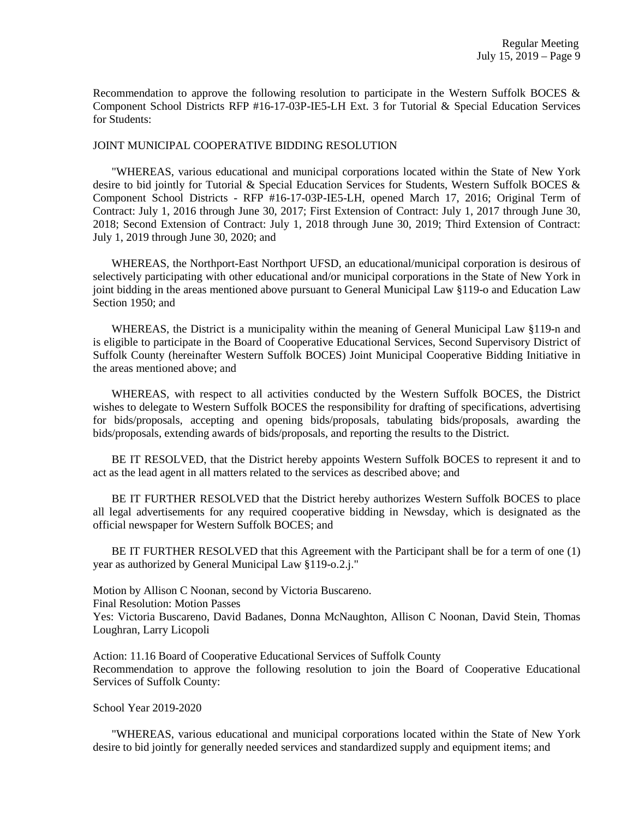Recommendation to approve the following resolution to participate in the Western Suffolk BOCES  $\&$ Component School Districts RFP #16-17-03P-IE5-LH Ext. 3 for Tutorial & Special Education Services for Students:

#### JOINT MUNICIPAL COOPERATIVE BIDDING RESOLUTION

 "WHEREAS, various educational and municipal corporations located within the State of New York desire to bid jointly for Tutorial & Special Education Services for Students, Western Suffolk BOCES & Component School Districts - RFP #16-17-03P-IE5-LH, opened March 17, 2016; Original Term of Contract: July 1, 2016 through June 30, 2017; First Extension of Contract: July 1, 2017 through June 30, 2018; Second Extension of Contract: July 1, 2018 through June 30, 2019; Third Extension of Contract: July 1, 2019 through June 30, 2020; and

 WHEREAS, the Northport-East Northport UFSD, an educational/municipal corporation is desirous of selectively participating with other educational and/or municipal corporations in the State of New York in joint bidding in the areas mentioned above pursuant to General Municipal Law §119-o and Education Law Section 1950; and

 WHEREAS, the District is a municipality within the meaning of General Municipal Law §119-n and is eligible to participate in the Board of Cooperative Educational Services, Second Supervisory District of Suffolk County (hereinafter Western Suffolk BOCES) Joint Municipal Cooperative Bidding Initiative in the areas mentioned above; and

 WHEREAS, with respect to all activities conducted by the Western Suffolk BOCES, the District wishes to delegate to Western Suffolk BOCES the responsibility for drafting of specifications, advertising for bids/proposals, accepting and opening bids/proposals, tabulating bids/proposals, awarding the bids/proposals, extending awards of bids/proposals, and reporting the results to the District.

 BE IT RESOLVED, that the District hereby appoints Western Suffolk BOCES to represent it and to act as the lead agent in all matters related to the services as described above; and

 BE IT FURTHER RESOLVED that the District hereby authorizes Western Suffolk BOCES to place all legal advertisements for any required cooperative bidding in Newsday, which is designated as the official newspaper for Western Suffolk BOCES; and

BE IT FURTHER RESOLVED that this Agreement with the Participant shall be for a term of one (1) year as authorized by General Municipal Law §119-o.2.j."

Motion by Allison C Noonan, second by Victoria Buscareno.

Final Resolution: Motion Passes

Yes: Victoria Buscareno, David Badanes, Donna McNaughton, Allison C Noonan, David Stein, Thomas Loughran, Larry Licopoli

Action: 11.16 Board of Cooperative Educational Services of Suffolk County Recommendation to approve the following resolution to join the Board of Cooperative Educational Services of Suffolk County:

School Year 2019-2020

 "WHEREAS, various educational and municipal corporations located within the State of New York desire to bid jointly for generally needed services and standardized supply and equipment items; and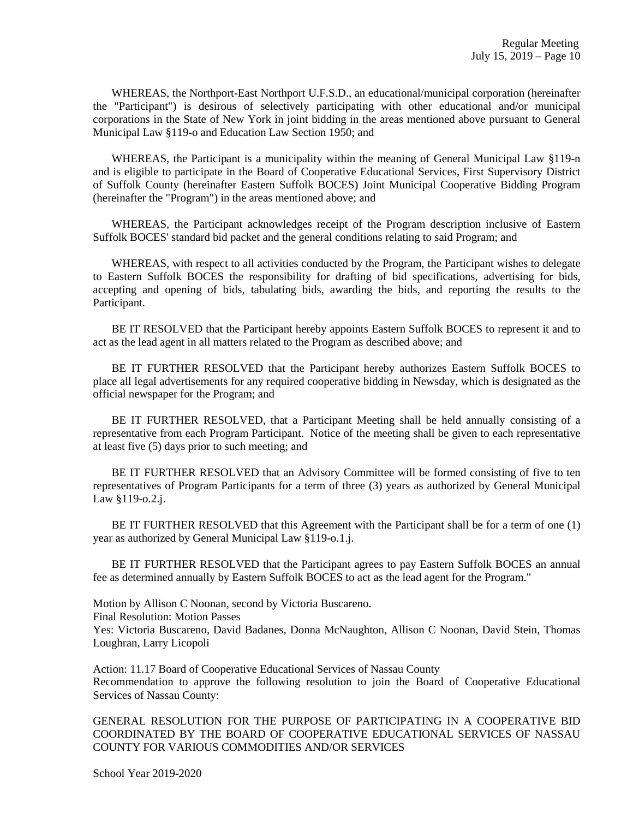WHEREAS, the Northport-East Northport U.F.S.D., an educational/municipal corporation (hereinafter the "Participant") is desirous of selectively participating with other educational and/or municipal corporations in the State of New York in joint bidding in the areas mentioned above pursuant to General Municipal Law §119-o and Education Law Section 1950; and

 WHEREAS, the Participant is a municipality within the meaning of General Municipal Law §119-n and is eligible to participate in the Board of Cooperative Educational Services, First Supervisory District of Suffolk County (hereinafter Eastern Suffolk BOCES) Joint Municipal Cooperative Bidding Program (hereinafter the "Program") in the areas mentioned above; and

 WHEREAS, the Participant acknowledges receipt of the Program description inclusive of Eastern Suffolk BOCES' standard bid packet and the general conditions relating to said Program; and

WHEREAS, with respect to all activities conducted by the Program, the Participant wishes to delegate to Eastern Suffolk BOCES the responsibility for drafting of bid specifications, advertising for bids, accepting and opening of bids, tabulating bids, awarding the bids, and reporting the results to the Participant.

 BE IT RESOLVED that the Participant hereby appoints Eastern Suffolk BOCES to represent it and to act as the lead agent in all matters related to the Program as described above; and

 BE IT FURTHER RESOLVED that the Participant hereby authorizes Eastern Suffolk BOCES to place all legal advertisements for any required cooperative bidding in Newsday, which is designated as the official newspaper for the Program; and

 BE IT FURTHER RESOLVED, that a Participant Meeting shall be held annually consisting of a representative from each Program Participant. Notice of the meeting shall be given to each representative at least five (5) days prior to such meeting; and

 BE IT FURTHER RESOLVED that an Advisory Committee will be formed consisting of five to ten representatives of Program Participants for a term of three (3) years as authorized by General Municipal Law §119-o.2.j.

 BE IT FURTHER RESOLVED that this Agreement with the Participant shall be for a term of one (1) year as authorized by General Municipal Law §119-o.1.j.

 BE IT FURTHER RESOLVED that the Participant agrees to pay Eastern Suffolk BOCES an annual fee as determined annually by Eastern Suffolk BOCES to act as the lead agent for the Program."

Motion by Allison C Noonan, second by Victoria Buscareno. Final Resolution: Motion Passes Yes: Victoria Buscareno, David Badanes, Donna McNaughton, Allison C Noonan, David Stein, Thomas Loughran, Larry Licopoli

Action: 11.17 Board of Cooperative Educational Services of Nassau County Recommendation to approve the following resolution to join the Board of Cooperative Educational Services of Nassau County:

GENERAL RESOLUTION FOR THE PURPOSE OF PARTICIPATING IN A COOPERATIVE BID COORDINATED BY THE BOARD OF COOPERATIVE EDUCATIONAL SERVICES OF NASSAU COUNTY FOR VARIOUS COMMODITIES AND/OR SERVICES

School Year 2019-2020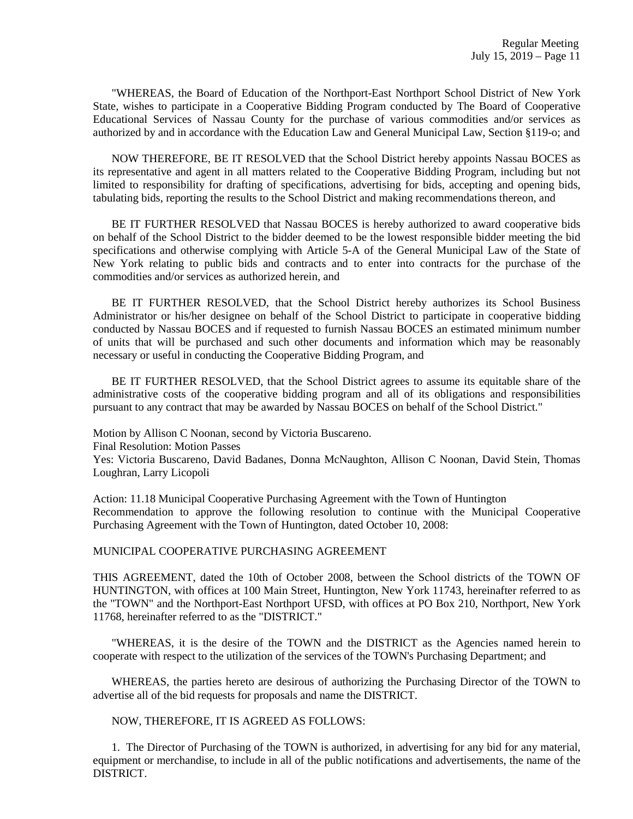"WHEREAS, the Board of Education of the Northport-East Northport School District of New York State, wishes to participate in a Cooperative Bidding Program conducted by The Board of Cooperative Educational Services of Nassau County for the purchase of various commodities and/or services as authorized by and in accordance with the Education Law and General Municipal Law, Section §119-o; and

 NOW THEREFORE, BE IT RESOLVED that the School District hereby appoints Nassau BOCES as its representative and agent in all matters related to the Cooperative Bidding Program, including but not limited to responsibility for drafting of specifications, advertising for bids, accepting and opening bids, tabulating bids, reporting the results to the School District and making recommendations thereon, and

 BE IT FURTHER RESOLVED that Nassau BOCES is hereby authorized to award cooperative bids on behalf of the School District to the bidder deemed to be the lowest responsible bidder meeting the bid specifications and otherwise complying with Article 5-A of the General Municipal Law of the State of New York relating to public bids and contracts and to enter into contracts for the purchase of the commodities and/or services as authorized herein, and

 BE IT FURTHER RESOLVED, that the School District hereby authorizes its School Business Administrator or his/her designee on behalf of the School District to participate in cooperative bidding conducted by Nassau BOCES and if requested to furnish Nassau BOCES an estimated minimum number of units that will be purchased and such other documents and information which may be reasonably necessary or useful in conducting the Cooperative Bidding Program, and

 BE IT FURTHER RESOLVED, that the School District agrees to assume its equitable share of the administrative costs of the cooperative bidding program and all of its obligations and responsibilities pursuant to any contract that may be awarded by Nassau BOCES on behalf of the School District."

Motion by Allison C Noonan, second by Victoria Buscareno. Final Resolution: Motion Passes Yes: Victoria Buscareno, David Badanes, Donna McNaughton, Allison C Noonan, David Stein, Thomas Loughran, Larry Licopoli

Action: 11.18 Municipal Cooperative Purchasing Agreement with the Town of Huntington Recommendation to approve the following resolution to continue with the Municipal Cooperative Purchasing Agreement with the Town of Huntington, dated October 10, 2008:

### MUNICIPAL COOPERATIVE PURCHASING AGREEMENT

THIS AGREEMENT, dated the 10th of October 2008, between the School districts of the TOWN OF HUNTINGTON, with offices at 100 Main Street, Huntington, New York 11743, hereinafter referred to as the "TOWN" and the Northport-East Northport UFSD, with offices at PO Box 210, Northport, New York 11768, hereinafter referred to as the "DISTRICT."

 "WHEREAS, it is the desire of the TOWN and the DISTRICT as the Agencies named herein to cooperate with respect to the utilization of the services of the TOWN's Purchasing Department; and

 WHEREAS, the parties hereto are desirous of authorizing the Purchasing Director of the TOWN to advertise all of the bid requests for proposals and name the DISTRICT.

NOW, THEREFORE, IT IS AGREED AS FOLLOWS:

 1. The Director of Purchasing of the TOWN is authorized, in advertising for any bid for any material, equipment or merchandise, to include in all of the public notifications and advertisements, the name of the DISTRICT.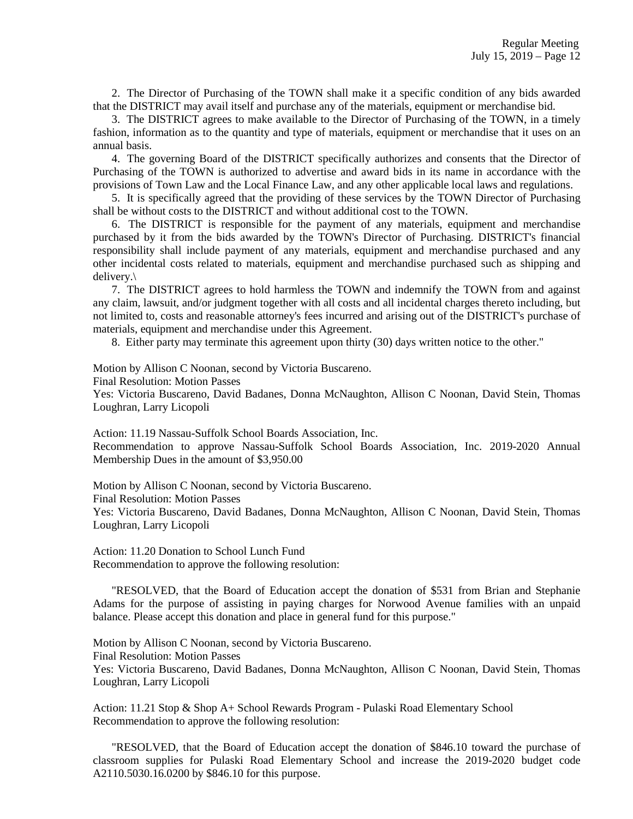2. The Director of Purchasing of the TOWN shall make it a specific condition of any bids awarded that the DISTRICT may avail itself and purchase any of the materials, equipment or merchandise bid.

 3. The DISTRICT agrees to make available to the Director of Purchasing of the TOWN, in a timely fashion, information as to the quantity and type of materials, equipment or merchandise that it uses on an annual basis.

 4. The governing Board of the DISTRICT specifically authorizes and consents that the Director of Purchasing of the TOWN is authorized to advertise and award bids in its name in accordance with the provisions of Town Law and the Local Finance Law, and any other applicable local laws and regulations.

 5. It is specifically agreed that the providing of these services by the TOWN Director of Purchasing shall be without costs to the DISTRICT and without additional cost to the TOWN.

 6. The DISTRICT is responsible for the payment of any materials, equipment and merchandise purchased by it from the bids awarded by the TOWN's Director of Purchasing. DISTRICT's financial responsibility shall include payment of any materials, equipment and merchandise purchased and any other incidental costs related to materials, equipment and merchandise purchased such as shipping and delivery.\

 7. The DISTRICT agrees to hold harmless the TOWN and indemnify the TOWN from and against any claim, lawsuit, and/or judgment together with all costs and all incidental charges thereto including, but not limited to, costs and reasonable attorney's fees incurred and arising out of the DISTRICT's purchase of materials, equipment and merchandise under this Agreement.

8. Either party may terminate this agreement upon thirty (30) days written notice to the other."

Motion by Allison C Noonan, second by Victoria Buscareno.

Final Resolution: Motion Passes

Yes: Victoria Buscareno, David Badanes, Donna McNaughton, Allison C Noonan, David Stein, Thomas Loughran, Larry Licopoli

Action: 11.19 Nassau-Suffolk School Boards Association, Inc. Recommendation to approve Nassau-Suffolk School Boards Association, Inc. 2019-2020 Annual Membership Dues in the amount of \$3,950.00

Motion by Allison C Noonan, second by Victoria Buscareno.

Final Resolution: Motion Passes

Yes: Victoria Buscareno, David Badanes, Donna McNaughton, Allison C Noonan, David Stein, Thomas Loughran, Larry Licopoli

Action: 11.20 Donation to School Lunch Fund Recommendation to approve the following resolution:

 "RESOLVED, that the Board of Education accept the donation of \$531 from Brian and Stephanie Adams for the purpose of assisting in paying charges for Norwood Avenue families with an unpaid balance. Please accept this donation and place in general fund for this purpose."

Motion by Allison C Noonan, second by Victoria Buscareno. Final Resolution: Motion Passes Yes: Victoria Buscareno, David Badanes, Donna McNaughton, Allison C Noonan, David Stein, Thomas Loughran, Larry Licopoli

Action: 11.21 Stop & Shop A+ School Rewards Program - Pulaski Road Elementary School Recommendation to approve the following resolution:

 "RESOLVED, that the Board of Education accept the donation of \$846.10 toward the purchase of classroom supplies for Pulaski Road Elementary School and increase the 2019-2020 budget code A2110.5030.16.0200 by \$846.10 for this purpose.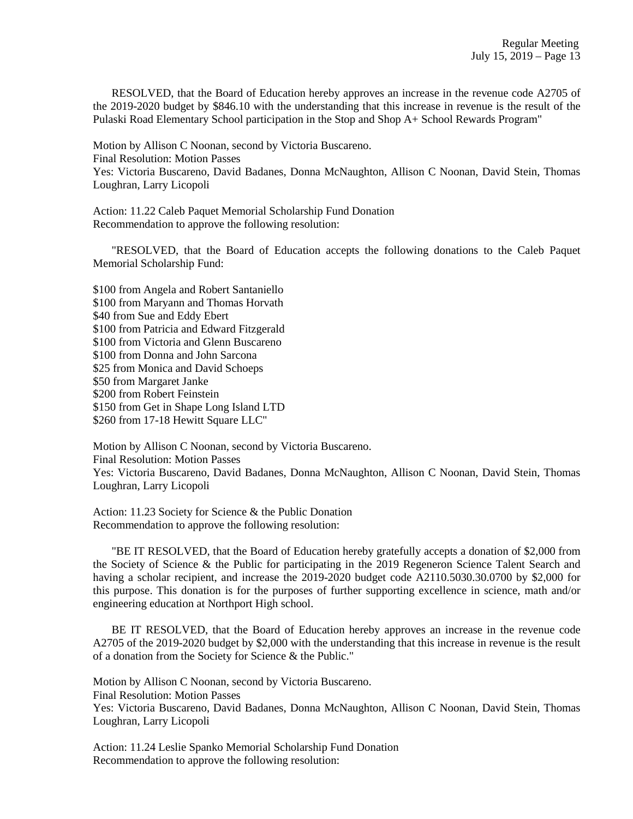RESOLVED, that the Board of Education hereby approves an increase in the revenue code A2705 of the 2019-2020 budget by \$846.10 with the understanding that this increase in revenue is the result of the Pulaski Road Elementary School participation in the Stop and Shop A+ School Rewards Program"

Motion by Allison C Noonan, second by Victoria Buscareno. Final Resolution: Motion Passes Yes: Victoria Buscareno, David Badanes, Donna McNaughton, Allison C Noonan, David Stein, Thomas Loughran, Larry Licopoli

Action: 11.22 Caleb Paquet Memorial Scholarship Fund Donation Recommendation to approve the following resolution:

 "RESOLVED, that the Board of Education accepts the following donations to the Caleb Paquet Memorial Scholarship Fund:

\$100 from Angela and Robert Santaniello \$100 from Maryann and Thomas Horvath \$40 from Sue and Eddy Ebert \$100 from Patricia and Edward Fitzgerald \$100 from Victoria and Glenn Buscareno \$100 from Donna and John Sarcona \$25 from Monica and David Schoeps \$50 from Margaret Janke \$200 from Robert Feinstein \$150 from Get in Shape Long Island LTD \$260 from 17-18 Hewitt Square LLC"

Motion by Allison C Noonan, second by Victoria Buscareno. Final Resolution: Motion Passes Yes: Victoria Buscareno, David Badanes, Donna McNaughton, Allison C Noonan, David Stein, Thomas Loughran, Larry Licopoli

Action: 11.23 Society for Science & the Public Donation Recommendation to approve the following resolution:

 "BE IT RESOLVED, that the Board of Education hereby gratefully accepts a donation of \$2,000 from the Society of Science & the Public for participating in the 2019 Regeneron Science Talent Search and having a scholar recipient, and increase the 2019-2020 budget code A2110.5030.30.0700 by \$2,000 for this purpose. This donation is for the purposes of further supporting excellence in science, math and/or engineering education at Northport High school.

 BE IT RESOLVED, that the Board of Education hereby approves an increase in the revenue code A2705 of the 2019-2020 budget by \$2,000 with the understanding that this increase in revenue is the result of a donation from the Society for Science & the Public."

Motion by Allison C Noonan, second by Victoria Buscareno. Final Resolution: Motion Passes Yes: Victoria Buscareno, David Badanes, Donna McNaughton, Allison C Noonan, David Stein, Thomas

Loughran, Larry Licopoli

Action: 11.24 Leslie Spanko Memorial Scholarship Fund Donation Recommendation to approve the following resolution: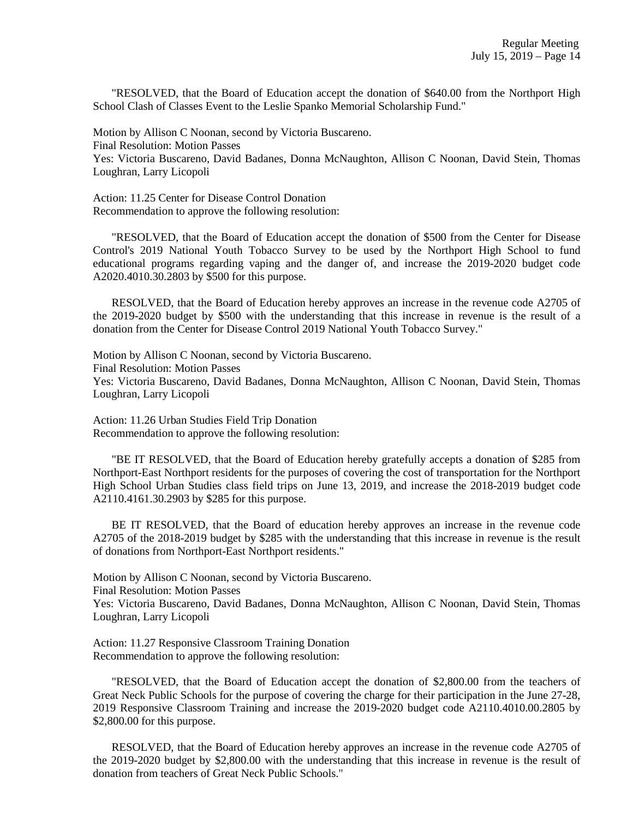"RESOLVED, that the Board of Education accept the donation of \$640.00 from the Northport High School Clash of Classes Event to the Leslie Spanko Memorial Scholarship Fund."

Motion by Allison C Noonan, second by Victoria Buscareno. Final Resolution: Motion Passes Yes: Victoria Buscareno, David Badanes, Donna McNaughton, Allison C Noonan, David Stein, Thomas Loughran, Larry Licopoli

Action: 11.25 Center for Disease Control Donation Recommendation to approve the following resolution:

 "RESOLVED, that the Board of Education accept the donation of \$500 from the Center for Disease Control's 2019 National Youth Tobacco Survey to be used by the Northport High School to fund educational programs regarding vaping and the danger of, and increase the 2019-2020 budget code A2020.4010.30.2803 by \$500 for this purpose.

 RESOLVED, that the Board of Education hereby approves an increase in the revenue code A2705 of the 2019-2020 budget by \$500 with the understanding that this increase in revenue is the result of a donation from the Center for Disease Control 2019 National Youth Tobacco Survey."

Motion by Allison C Noonan, second by Victoria Buscareno. Final Resolution: Motion Passes Yes: Victoria Buscareno, David Badanes, Donna McNaughton, Allison C Noonan, David Stein, Thomas Loughran, Larry Licopoli

Action: 11.26 Urban Studies Field Trip Donation Recommendation to approve the following resolution:

 "BE IT RESOLVED, that the Board of Education hereby gratefully accepts a donation of \$285 from Northport-East Northport residents for the purposes of covering the cost of transportation for the Northport High School Urban Studies class field trips on June 13, 2019, and increase the 2018-2019 budget code A2110.4161.30.2903 by \$285 for this purpose.

 BE IT RESOLVED, that the Board of education hereby approves an increase in the revenue code A2705 of the 2018-2019 budget by \$285 with the understanding that this increase in revenue is the result of donations from Northport-East Northport residents."

Motion by Allison C Noonan, second by Victoria Buscareno.

Final Resolution: Motion Passes

Yes: Victoria Buscareno, David Badanes, Donna McNaughton, Allison C Noonan, David Stein, Thomas Loughran, Larry Licopoli

Action: 11.27 Responsive Classroom Training Donation Recommendation to approve the following resolution:

 "RESOLVED, that the Board of Education accept the donation of \$2,800.00 from the teachers of Great Neck Public Schools for the purpose of covering the charge for their participation in the June 27-28, 2019 Responsive Classroom Training and increase the 2019-2020 budget code A2110.4010.00.2805 by \$2,800.00 for this purpose.

 RESOLVED, that the Board of Education hereby approves an increase in the revenue code A2705 of the 2019-2020 budget by \$2,800.00 with the understanding that this increase in revenue is the result of donation from teachers of Great Neck Public Schools."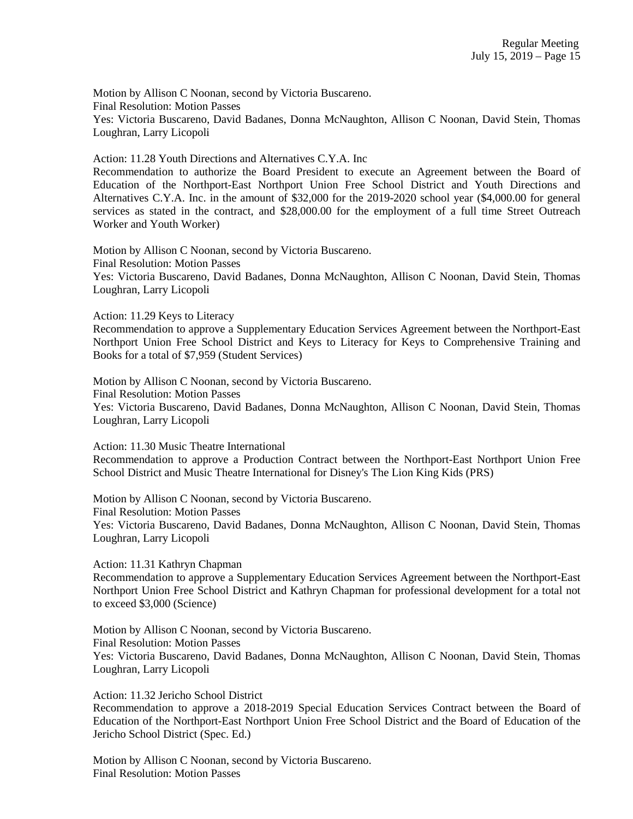Motion by Allison C Noonan, second by Victoria Buscareno. Final Resolution: Motion Passes Yes: Victoria Buscareno, David Badanes, Donna McNaughton, Allison C Noonan, David Stein, Thomas Loughran, Larry Licopoli

Action: 11.28 Youth Directions and Alternatives C.Y.A. Inc Recommendation to authorize the Board President to execute an Agreement between the Board of Education of the Northport-East Northport Union Free School District and Youth Directions and Alternatives C.Y.A. Inc. in the amount of \$32,000 for the 2019-2020 school year (\$4,000.00 for general services as stated in the contract, and \$28,000.00 for the employment of a full time Street Outreach Worker and Youth Worker)

Motion by Allison C Noonan, second by Victoria Buscareno. Final Resolution: Motion Passes Yes: Victoria Buscareno, David Badanes, Donna McNaughton, Allison C Noonan, David Stein, Thomas Loughran, Larry Licopoli

Action: 11.29 Keys to Literacy

Recommendation to approve a Supplementary Education Services Agreement between the Northport-East Northport Union Free School District and Keys to Literacy for Keys to Comprehensive Training and Books for a total of \$7,959 (Student Services)

Motion by Allison C Noonan, second by Victoria Buscareno. Final Resolution: Motion Passes Yes: Victoria Buscareno, David Badanes, Donna McNaughton, Allison C Noonan, David Stein, Thomas Loughran, Larry Licopoli

Action: 11.30 Music Theatre International

Recommendation to approve a Production Contract between the Northport-East Northport Union Free School District and Music Theatre International for Disney's The Lion King Kids (PRS)

Motion by Allison C Noonan, second by Victoria Buscareno.

Final Resolution: Motion Passes

Yes: Victoria Buscareno, David Badanes, Donna McNaughton, Allison C Noonan, David Stein, Thomas Loughran, Larry Licopoli

Action: 11.31 Kathryn Chapman

Recommendation to approve a Supplementary Education Services Agreement between the Northport-East Northport Union Free School District and Kathryn Chapman for professional development for a total not to exceed \$3,000 (Science)

Motion by Allison C Noonan, second by Victoria Buscareno. Final Resolution: Motion Passes Yes: Victoria Buscareno, David Badanes, Donna McNaughton, Allison C Noonan, David Stein, Thomas Loughran, Larry Licopoli

Action: 11.32 Jericho School District

Recommendation to approve a 2018-2019 Special Education Services Contract between the Board of Education of the Northport-East Northport Union Free School District and the Board of Education of the Jericho School District (Spec. Ed.)

Motion by Allison C Noonan, second by Victoria Buscareno. Final Resolution: Motion Passes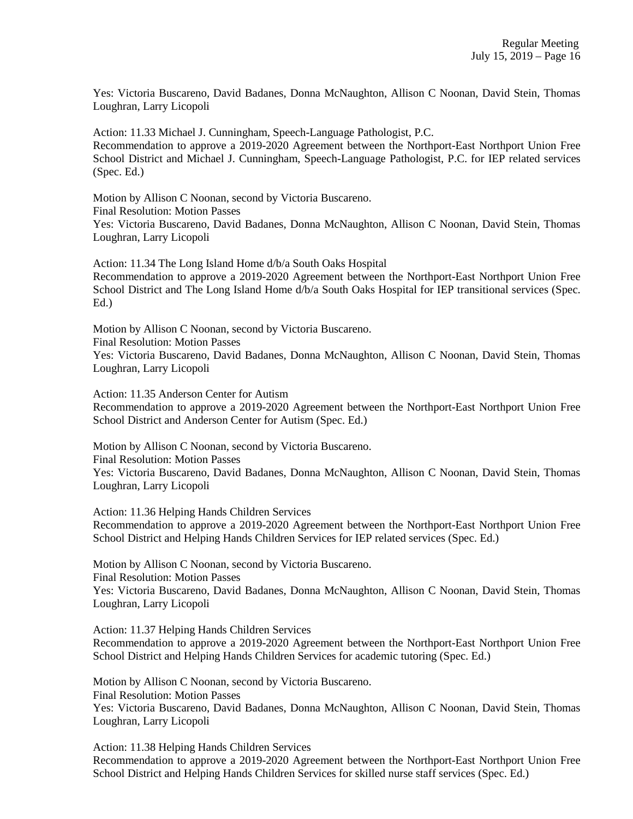Yes: Victoria Buscareno, David Badanes, Donna McNaughton, Allison C Noonan, David Stein, Thomas Loughran, Larry Licopoli

Action: 11.33 Michael J. Cunningham, Speech-Language Pathologist, P.C. Recommendation to approve a 2019-2020 Agreement between the Northport-East Northport Union Free School District and Michael J. Cunningham, Speech-Language Pathologist, P.C. for IEP related services (Spec. Ed.)

Motion by Allison C Noonan, second by Victoria Buscareno. Final Resolution: Motion Passes Yes: Victoria Buscareno, David Badanes, Donna McNaughton, Allison C Noonan, David Stein, Thomas Loughran, Larry Licopoli

Action: 11.34 The Long Island Home d/b/a South Oaks Hospital Recommendation to approve a 2019-2020 Agreement between the Northport-East Northport Union Free School District and The Long Island Home d/b/a South Oaks Hospital for IEP transitional services (Spec. Ed.)

Motion by Allison C Noonan, second by Victoria Buscareno. Final Resolution: Motion Passes Yes: Victoria Buscareno, David Badanes, Donna McNaughton, Allison C Noonan, David Stein, Thomas Loughran, Larry Licopoli

Action: 11.35 Anderson Center for Autism

Recommendation to approve a 2019-2020 Agreement between the Northport-East Northport Union Free School District and Anderson Center for Autism (Spec. Ed.)

Motion by Allison C Noonan, second by Victoria Buscareno.

Final Resolution: Motion Passes Yes: Victoria Buscareno, David Badanes, Donna McNaughton, Allison C Noonan, David Stein, Thomas Loughran, Larry Licopoli

Action: 11.36 Helping Hands Children Services Recommendation to approve a 2019-2020 Agreement between the Northport-East Northport Union Free School District and Helping Hands Children Services for IEP related services (Spec. Ed.)

Motion by Allison C Noonan, second by Victoria Buscareno. Final Resolution: Motion Passes Yes: Victoria Buscareno, David Badanes, Donna McNaughton, Allison C Noonan, David Stein, Thomas Loughran, Larry Licopoli

Action: 11.37 Helping Hands Children Services Recommendation to approve a 2019-2020 Agreement between the Northport-East Northport Union Free School District and Helping Hands Children Services for academic tutoring (Spec. Ed.)

Motion by Allison C Noonan, second by Victoria Buscareno. Final Resolution: Motion Passes Yes: Victoria Buscareno, David Badanes, Donna McNaughton, Allison C Noonan, David Stein, Thomas Loughran, Larry Licopoli

Action: 11.38 Helping Hands Children Services Recommendation to approve a 2019-2020 Agreement between the Northport-East Northport Union Free School District and Helping Hands Children Services for skilled nurse staff services (Spec. Ed.)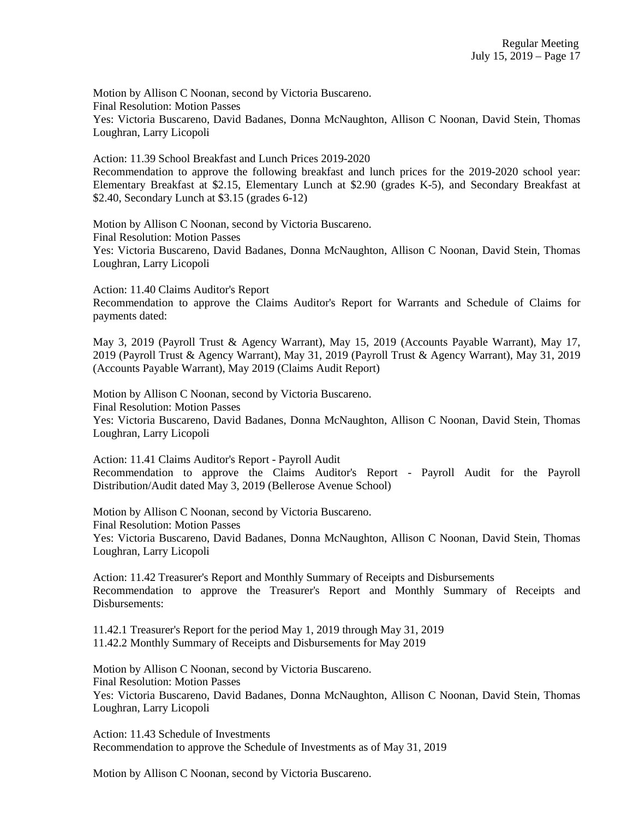Motion by Allison C Noonan, second by Victoria Buscareno. Final Resolution: Motion Passes Yes: Victoria Buscareno, David Badanes, Donna McNaughton, Allison C Noonan, David Stein, Thomas Loughran, Larry Licopoli

Action: 11.39 School Breakfast and Lunch Prices 2019-2020 Recommendation to approve the following breakfast and lunch prices for the 2019-2020 school year: Elementary Breakfast at \$2.15, Elementary Lunch at \$2.90 (grades K-5), and Secondary Breakfast at \$2.40, Secondary Lunch at \$3.15 (grades 6-12)

Motion by Allison C Noonan, second by Victoria Buscareno. Final Resolution: Motion Passes Yes: Victoria Buscareno, David Badanes, Donna McNaughton, Allison C Noonan, David Stein, Thomas Loughran, Larry Licopoli

Action: 11.40 Claims Auditor's Report Recommendation to approve the Claims Auditor's Report for Warrants and Schedule of Claims for payments dated:

May 3, 2019 (Payroll Trust & Agency Warrant), May 15, 2019 (Accounts Payable Warrant), May 17, 2019 (Payroll Trust & Agency Warrant), May 31, 2019 (Payroll Trust & Agency Warrant), May 31, 2019 (Accounts Payable Warrant), May 2019 (Claims Audit Report)

Motion by Allison C Noonan, second by Victoria Buscareno. Final Resolution: Motion Passes Yes: Victoria Buscareno, David Badanes, Donna McNaughton, Allison C Noonan, David Stein, Thomas Loughran, Larry Licopoli

Action: 11.41 Claims Auditor's Report - Payroll Audit Recommendation to approve the Claims Auditor's Report - Payroll Audit for the Payroll Distribution/Audit dated May 3, 2019 (Bellerose Avenue School)

Motion by Allison C Noonan, second by Victoria Buscareno. Final Resolution: Motion Passes Yes: Victoria Buscareno, David Badanes, Donna McNaughton, Allison C Noonan, David Stein, Thomas Loughran, Larry Licopoli

Action: 11.42 Treasurer's Report and Monthly Summary of Receipts and Disbursements Recommendation to approve the Treasurer's Report and Monthly Summary of Receipts and Disbursements:

11.42.1 Treasurer's Report for the period May 1, 2019 through May 31, 2019 11.42.2 Monthly Summary of Receipts and Disbursements for May 2019

Motion by Allison C Noonan, second by Victoria Buscareno. Final Resolution: Motion Passes Yes: Victoria Buscareno, David Badanes, Donna McNaughton, Allison C Noonan, David Stein, Thomas Loughran, Larry Licopoli

Action: 11.43 Schedule of Investments Recommendation to approve the Schedule of Investments as of May 31, 2019

Motion by Allison C Noonan, second by Victoria Buscareno.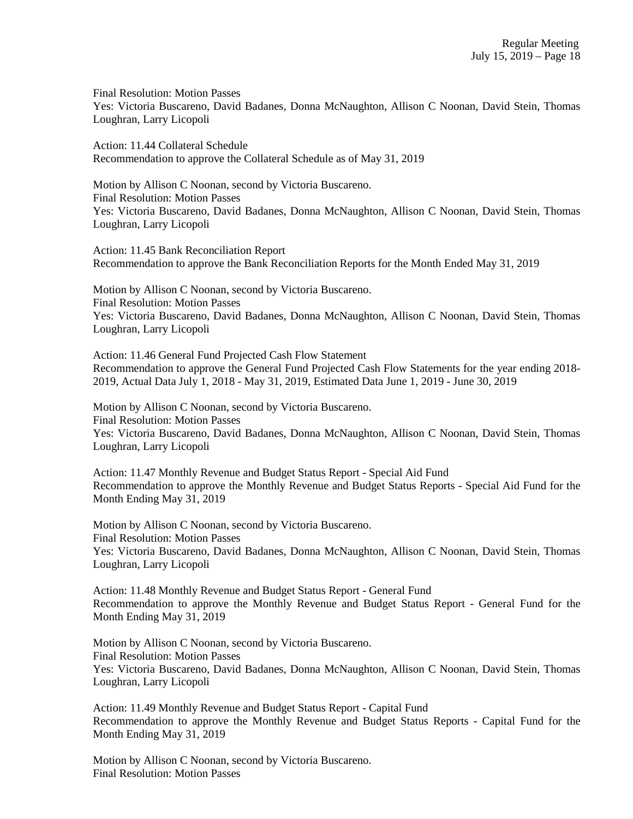Final Resolution: Motion Passes Yes: Victoria Buscareno, David Badanes, Donna McNaughton, Allison C Noonan, David Stein, Thomas Loughran, Larry Licopoli

Action: 11.44 Collateral Schedule Recommendation to approve the Collateral Schedule as of May 31, 2019

Motion by Allison C Noonan, second by Victoria Buscareno. Final Resolution: Motion Passes Yes: Victoria Buscareno, David Badanes, Donna McNaughton, Allison C Noonan, David Stein, Thomas Loughran, Larry Licopoli

Action: 11.45 Bank Reconciliation Report Recommendation to approve the Bank Reconciliation Reports for the Month Ended May 31, 2019

Motion by Allison C Noonan, second by Victoria Buscareno. Final Resolution: Motion Passes Yes: Victoria Buscareno, David Badanes, Donna McNaughton, Allison C Noonan, David Stein, Thomas Loughran, Larry Licopoli

Action: 11.46 General Fund Projected Cash Flow Statement Recommendation to approve the General Fund Projected Cash Flow Statements for the year ending 2018- 2019, Actual Data July 1, 2018 - May 31, 2019, Estimated Data June 1, 2019 - June 30, 2019

Motion by Allison C Noonan, second by Victoria Buscareno. Final Resolution: Motion Passes Yes: Victoria Buscareno, David Badanes, Donna McNaughton, Allison C Noonan, David Stein, Thomas Loughran, Larry Licopoli

Action: 11.47 Monthly Revenue and Budget Status Report - Special Aid Fund Recommendation to approve the Monthly Revenue and Budget Status Reports - Special Aid Fund for the Month Ending May 31, 2019

Motion by Allison C Noonan, second by Victoria Buscareno. Final Resolution: Motion Passes Yes: Victoria Buscareno, David Badanes, Donna McNaughton, Allison C Noonan, David Stein, Thomas Loughran, Larry Licopoli

Action: 11.48 Monthly Revenue and Budget Status Report - General Fund Recommendation to approve the Monthly Revenue and Budget Status Report - General Fund for the Month Ending May 31, 2019

Motion by Allison C Noonan, second by Victoria Buscareno. Final Resolution: Motion Passes Yes: Victoria Buscareno, David Badanes, Donna McNaughton, Allison C Noonan, David Stein, Thomas Loughran, Larry Licopoli

Action: 11.49 Monthly Revenue and Budget Status Report - Capital Fund Recommendation to approve the Monthly Revenue and Budget Status Reports - Capital Fund for the Month Ending May 31, 2019

Motion by Allison C Noonan, second by Victoria Buscareno. Final Resolution: Motion Passes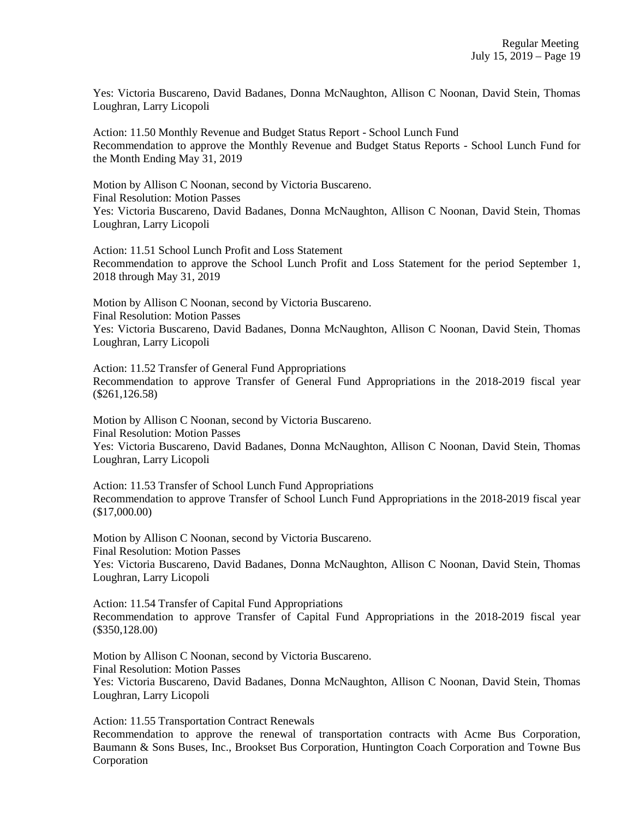Yes: Victoria Buscareno, David Badanes, Donna McNaughton, Allison C Noonan, David Stein, Thomas Loughran, Larry Licopoli

Action: 11.50 Monthly Revenue and Budget Status Report - School Lunch Fund Recommendation to approve the Monthly Revenue and Budget Status Reports - School Lunch Fund for the Month Ending May 31, 2019

Motion by Allison C Noonan, second by Victoria Buscareno. Final Resolution: Motion Passes Yes: Victoria Buscareno, David Badanes, Donna McNaughton, Allison C Noonan, David Stein, Thomas Loughran, Larry Licopoli

Action: 11.51 School Lunch Profit and Loss Statement Recommendation to approve the School Lunch Profit and Loss Statement for the period September 1, 2018 through May 31, 2019

Motion by Allison C Noonan, second by Victoria Buscareno. Final Resolution: Motion Passes Yes: Victoria Buscareno, David Badanes, Donna McNaughton, Allison C Noonan, David Stein, Thomas Loughran, Larry Licopoli

Action: 11.52 Transfer of General Fund Appropriations Recommendation to approve Transfer of General Fund Appropriations in the 2018-2019 fiscal year (\$261,126.58)

Motion by Allison C Noonan, second by Victoria Buscareno. Final Resolution: Motion Passes Yes: Victoria Buscareno, David Badanes, Donna McNaughton, Allison C Noonan, David Stein, Thomas Loughran, Larry Licopoli

Action: 11.53 Transfer of School Lunch Fund Appropriations Recommendation to approve Transfer of School Lunch Fund Appropriations in the 2018-2019 fiscal year (\$17,000.00)

Motion by Allison C Noonan, second by Victoria Buscareno. Final Resolution: Motion Passes Yes: Victoria Buscareno, David Badanes, Donna McNaughton, Allison C Noonan, David Stein, Thomas Loughran, Larry Licopoli

Action: 11.54 Transfer of Capital Fund Appropriations Recommendation to approve Transfer of Capital Fund Appropriations in the 2018-2019 fiscal year (\$350,128.00)

Motion by Allison C Noonan, second by Victoria Buscareno. Final Resolution: Motion Passes Yes: Victoria Buscareno, David Badanes, Donna McNaughton, Allison C Noonan, David Stein, Thomas Loughran, Larry Licopoli

Action: 11.55 Transportation Contract Renewals

Recommendation to approve the renewal of transportation contracts with Acme Bus Corporation, Baumann & Sons Buses, Inc., Brookset Bus Corporation, Huntington Coach Corporation and Towne Bus Corporation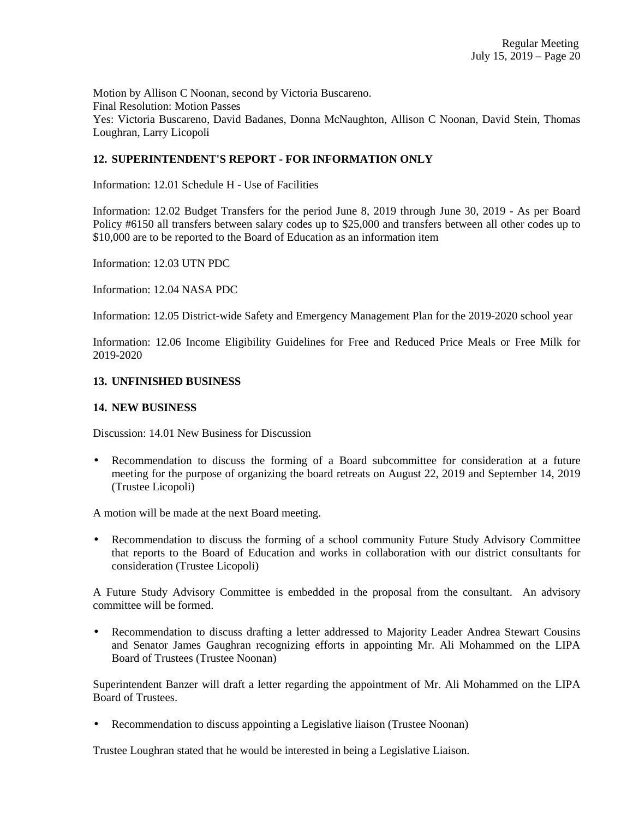Motion by Allison C Noonan, second by Victoria Buscareno. Final Resolution: Motion Passes Yes: Victoria Buscareno, David Badanes, Donna McNaughton, Allison C Noonan, David Stein, Thomas Loughran, Larry Licopoli

# **12. SUPERINTENDENT'S REPORT - FOR INFORMATION ONLY**

Information: 12.01 Schedule H - Use of Facilities

Information: 12.02 Budget Transfers for the period June 8, 2019 through June 30, 2019 - As per Board Policy #6150 all transfers between salary codes up to \$25,000 and transfers between all other codes up to \$10,000 are to be reported to the Board of Education as an information item

Information: 12.03 UTN PDC

Information: 12.04 NASA PDC

Information: 12.05 District-wide Safety and Emergency Management Plan for the 2019-2020 school year

Information: 12.06 Income Eligibility Guidelines for Free and Reduced Price Meals or Free Milk for 2019-2020

## **13. UNFINISHED BUSINESS**

### **14. NEW BUSINESS**

Discussion: 14.01 New Business for Discussion

• Recommendation to discuss the forming of a Board subcommittee for consideration at a future meeting for the purpose of organizing the board retreats on August 22, 2019 and September 14, 2019 (Trustee Licopoli)

A motion will be made at the next Board meeting.

• Recommendation to discuss the forming of a school community Future Study Advisory Committee that reports to the Board of Education and works in collaboration with our district consultants for consideration (Trustee Licopoli)

A Future Study Advisory Committee is embedded in the proposal from the consultant. An advisory committee will be formed.

• Recommendation to discuss drafting a letter addressed to Majority Leader Andrea Stewart Cousins and Senator James Gaughran recognizing efforts in appointing Mr. Ali Mohammed on the LIPA Board of Trustees (Trustee Noonan)

Superintendent Banzer will draft a letter regarding the appointment of Mr. Ali Mohammed on the LIPA Board of Trustees.

• Recommendation to discuss appointing a Legislative liaison (Trustee Noonan)

Trustee Loughran stated that he would be interested in being a Legislative Liaison.